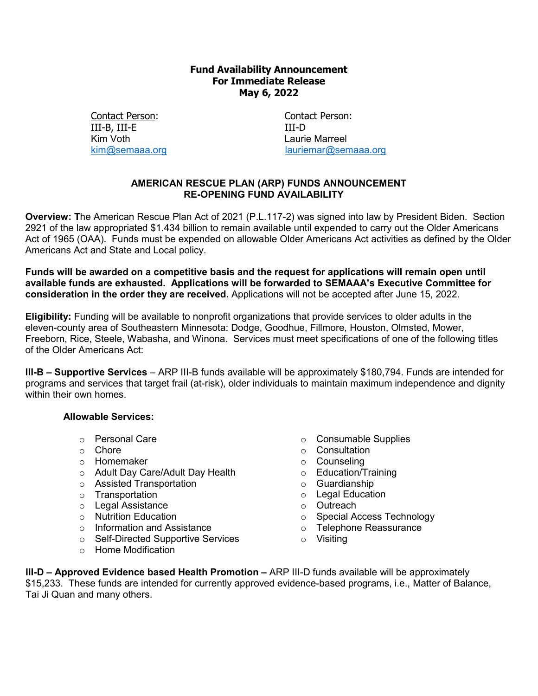# **Fund Availability Announcement For Immediate Release May 6, 2022**

Contact Person: Contact Person: III-B, III-E III-D

Laurie Marreel [kim@semaaa.org](mailto:kim@semaaa.org) lauriemar@semaaa.org

# **AMERICAN RESCUE PLAN (ARP) FUNDS ANNOUNCEMENT RE-OPENING FUND AVAILABILITY**

**Overview: T**he American Rescue Plan Act of 2021 (P.L.117-2) was signed into law by President Biden. Section 2921 of the law appropriated \$1.434 billion to remain available until expended to carry out the Older Americans Act of 1965 (OAA). Funds must be expended on allowable Older Americans Act activities as defined by the Older Americans Act and State and Local policy.

**Funds will be awarded on a competitive basis and the request for applications will remain open until available funds are exhausted. Applications will be forwarded to SEMAAA's Executive Committee for consideration in the order they are received.** Applications will not be accepted after June 15, 2022.

**Eligibility:** Funding will be available to nonprofit organizations that provide services to older adults in the eleven-county area of Southeastern Minnesota: Dodge, Goodhue, Fillmore, Houston, Olmsted, Mower, Freeborn, Rice, Steele, Wabasha, and Winona. Services must meet specifications of one of the following titles of the Older Americans Act:

**III-B – Supportive Services** – ARP III-B funds available will be approximately \$180,794. Funds are intended for programs and services that target frail (at-risk), older individuals to maintain maximum independence and dignity within their own homes.

# **Allowable Services:**

- o Personal Care
- o Chore
- o Homemaker
- o Adult Day Care/Adult Day Health
- o Assisted Transportation
- o Transportation
- o Legal Assistance
- o Nutrition Education
- o Information and Assistance
- o Self-Directed Supportive Services
- o Home Modification
- o Consumable Supplies
- o Consultation
- o Counseling
- o Education/Training
- o Guardianship
- o Legal Education
- o Outreach<br>⊙ Special Ao
	- Special Access Technology
- o Telephone Reassurance
- o Visiting

**III-D – Approved Evidence based Health Promotion –** ARP III-D funds available will be approximately \$15,233. These funds are intended for currently approved evidence-based programs, i.e., Matter of Balance, Tai Ji Quan and many others.